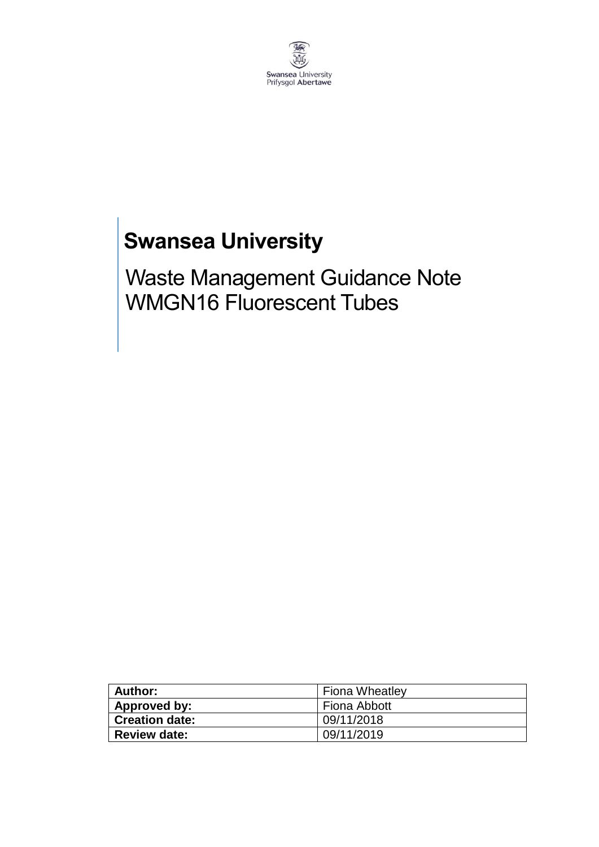

## **Swansea University**

Waste Management Guidance Note WMGN16 Fluorescent Tubes

| Author:               | <b>Fiona Wheatley</b> |
|-----------------------|-----------------------|
| Approved by:          | Fiona Abbott          |
| <b>Creation date:</b> | 09/11/2018            |
| <b>Review date:</b>   | 09/11/2019            |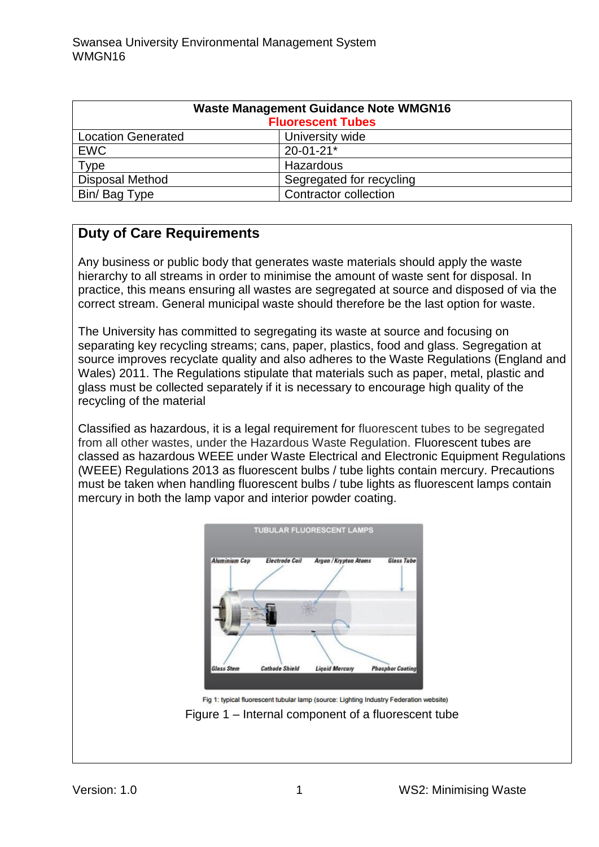| <b>Waste Management Guidance Note WMGN16</b><br><b>Fluorescent Tubes</b> |                              |
|--------------------------------------------------------------------------|------------------------------|
| <b>Location Generated</b>                                                | University wide              |
| <b>EWC</b>                                                               | $20 - 01 - 21*$              |
| Type                                                                     | Hazardous                    |
| <b>Disposal Method</b>                                                   | Segregated for recycling     |
| Bin/Bag Type                                                             | <b>Contractor collection</b> |

## **Duty of Care Requirements**

Any business or public body that generates waste materials should apply the waste hierarchy to all streams in order to minimise the amount of waste sent for disposal. In practice, this means ensuring all wastes are segregated at source and disposed of via the correct stream. General municipal waste should therefore be the last option for waste.

The University has committed to segregating its waste at source and focusing on separating key recycling streams; cans, paper, plastics, food and glass. Segregation at source improves recyclate quality and also adheres to the Waste Regulations (England and Wales) 2011. The Regulations stipulate that materials such as paper, metal, plastic and glass must be collected separately if it is necessary to encourage high quality of the recycling of the material

Classified as hazardous, it is a legal requirement for fluorescent tubes to be segregated from all other wastes, under the Hazardous Waste Regulation. Fluorescent tubes are classed as hazardous WEEE under Waste Electrical and Electronic Equipment Regulations (WEEE) Regulations 2013 as fluorescent bulbs / tube lights contain mercury. Precautions must be taken when handling fluorescent bulbs / tube lights as fluorescent lamps contain mercury in both the lamp vapor and interior powder coating.



Fig 1: typical fluorescent tubular lamp (source: Lighting Industry Federation website) Figure 1 – Internal component of a fluorescent tube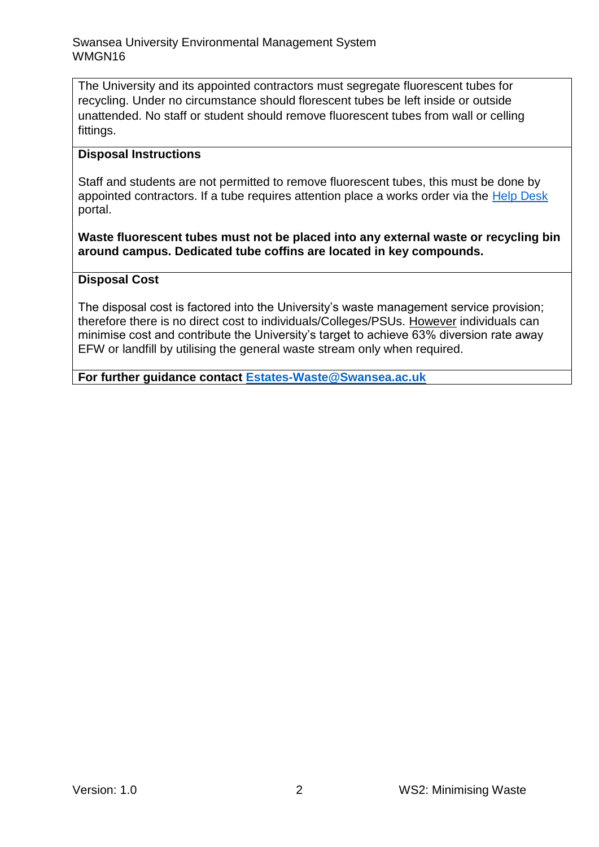The University and its appointed contractors must segregate fluorescent tubes for recycling. Under no circumstance should florescent tubes be left inside or outside unattended. No staff or student should remove fluorescent tubes from wall or celling fittings.

## **Disposal Instructions**

Staff and students are not permitted to remove fluorescent tubes, this must be done by appointed contractors. If a tube requires attention place a works order via the [Help Desk](https://quemis.swan.ac.uk/Q2_Live/login) portal.

**Waste fluorescent tubes must not be placed into any external waste or recycling bin around campus. Dedicated tube coffins are located in key compounds.**

## **Disposal Cost**

The disposal cost is factored into the University's waste management service provision; therefore there is no direct cost to individuals/Colleges/PSUs. However individuals can minimise cost and contribute the University's target to achieve 63% diversion rate away EFW or landfill by utilising the general waste stream only when required.

**For further guidance contact [Estates-Waste@Swansea.ac.uk](mailto:Estates-Waste@Swansea.ac.uk)**